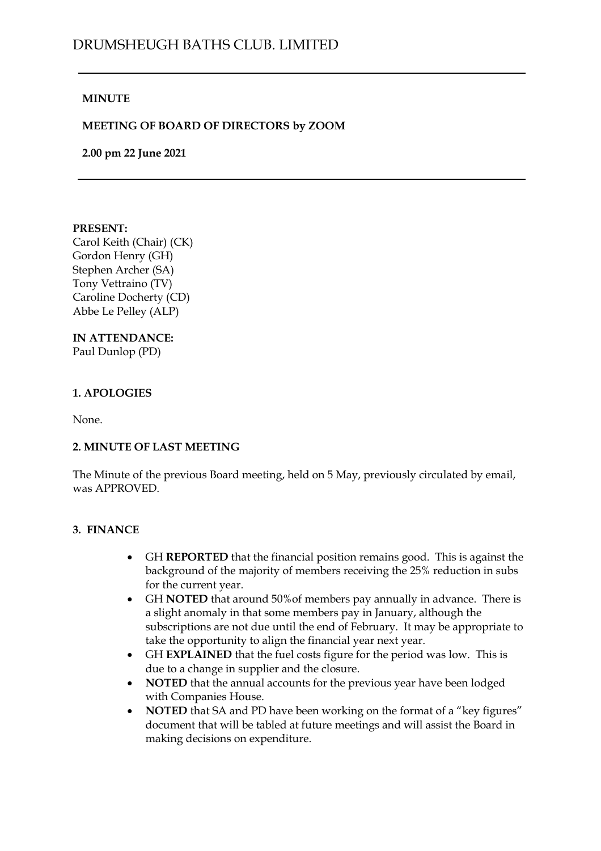## DRUMSHEUGH BATHS CLUB. LIMITED

### **MINUTE**

### **MEETING OF BOARD OF DIRECTORS by ZOOM**

**2.00 pm 22 June 2021**

#### **PRESENT:**

Carol Keith (Chair) (CK) Gordon Henry (GH) Stephen Archer (SA) Tony Vettraino (TV) Caroline Docherty (CD) Abbe Le Pelley (ALP)

### **IN ATTENDANCE:**

Paul Dunlop (PD)

### **1. APOLOGIES**

None.

### **2. MINUTE OF LAST MEETING**

The Minute of the previous Board meeting, held on 5 May, previously circulated by email, was APPROVED.

### **3. FINANCE**

- GH **REPORTED** that the financial position remains good. This is against the background of the majority of members receiving the 25% reduction in subs for the current year.
- GH **NOTED** that around 50%of members pay annually in advance. There is a slight anomaly in that some members pay in January, although the subscriptions are not due until the end of February. It may be appropriate to take the opportunity to align the financial year next year.
- GH **EXPLAINED** that the fuel costs figure for the period was low. This is due to a change in supplier and the closure.
- **NOTED** that the annual accounts for the previous year have been lodged with Companies House.
- **NOTED** that SA and PD have been working on the format of a "key figures" document that will be tabled at future meetings and will assist the Board in making decisions on expenditure.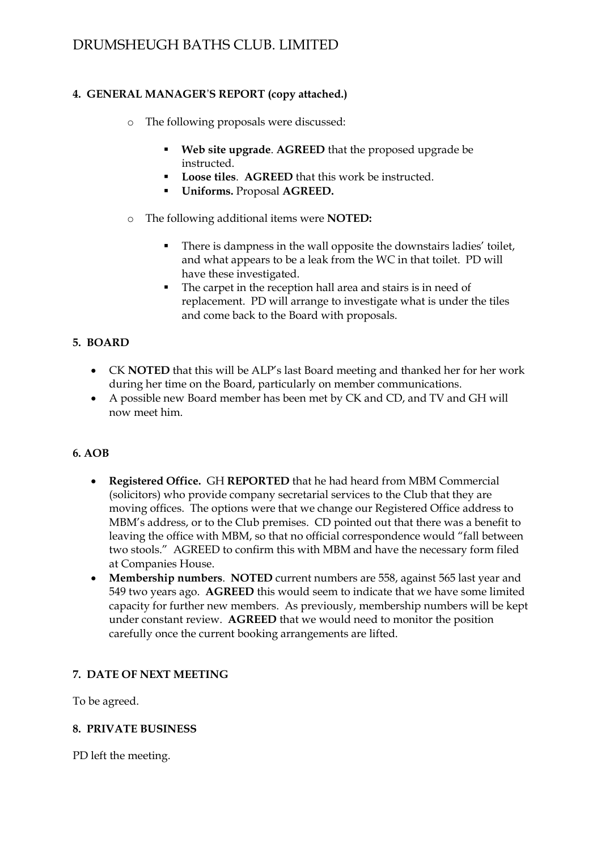## DRUMSHEUGH BATHS CLUB. LIMITED

### **4. GENERAL MANAGER**'**S REPORT (copy attached.)**

- o The following proposals were discussed:
	- **Web** site upgrade. AGREED that the proposed upgrade be instructed.
	- **Loose tiles**. **AGREED** that this work be instructed.
	- **Uniforms.** Proposal **AGREED.**
- o The following additional items were **NOTED:**
	- There is dampness in the wall opposite the downstairs ladies' toilet, and what appears to be a leak from the WC in that toilet. PD will have these investigated.
	- The carpet in the reception hall area and stairs is in need of replacement. PD will arrange to investigate what is under the tiles and come back to the Board with proposals.

### **5. BOARD**

- CK **NOTED** that this will be ALP's last Board meeting and thanked her for her work during her time on the Board, particularly on member communications.
- A possible new Board member has been met by CK and CD, and TV and GH will now meet him.

### **6. AOB**

- **Registered Office.** GH **REPORTED** that he had heard from MBM Commercial (solicitors) who provide company secretarial services to the Club that they are moving offices. The options were that we change our Registered Office address to MBM's address, or to the Club premises. CD pointed out that there was a benefit to leaving the office with MBM, so that no official correspondence would "fall between two stools." AGREED to confirm this with MBM and have the necessary form filed at Companies House.
- **Membership numbers**. **NOTED** current numbers are 558, against 565 last year and 549 two years ago. **AGREED** this would seem to indicate that we have some limited capacity for further new members. As previously, membership numbers will be kept under constant review. **AGREED** that we would need to monitor the position carefully once the current booking arrangements are lifted.

### **7. DATE OF NEXT MEETING**

To be agreed.

### **8. PRIVATE BUSINESS**

PD left the meeting.